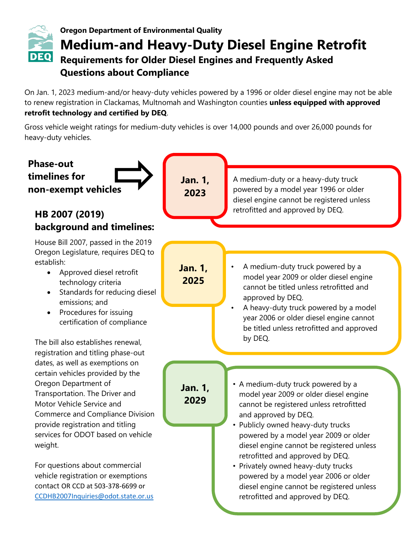

# **Oregon Department of Environmental Quality Medium-and Heavy-Duty Diesel Engine Retrofit Requirements for Older Diesel Engines and Frequently Asked Questions about Compliance**

On Jan. 1, 2023 medium-and/or heavy-duty vehicles powered by a 1996 or older diesel engine may not be able to renew registration in Clackamas, Multnomah and Washington counties **unless equipped with approved retrofit technology and certified by DEQ**.

Gross vehicle weight ratings for medium-duty vehicles is over 14,000 pounds and over 26,000 pounds for heavy-duty vehicles.